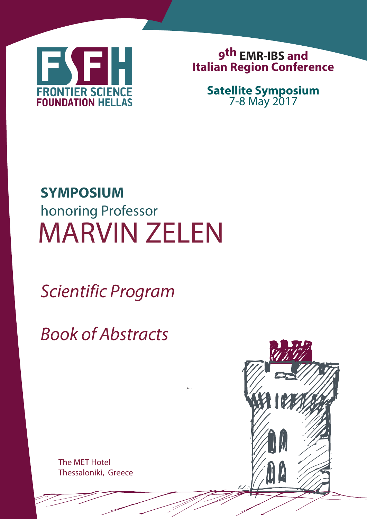

**9 th EMR-IBS and Italian Region Conference**

> **Satellite Symposium** 7-8 May 2017

# MARVIN ZELEN **SYMPOSIUM** honoring Professor

Scientific Program

Book of Abstracts

The MET Hotel Thessaloniki, Greece

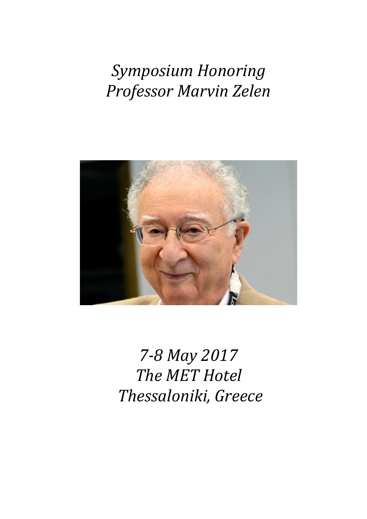# *Symposium Honoring Professor Marvin Zelen*



*7-8 May 2017 The MET Hotel Thessaloniki, Greece*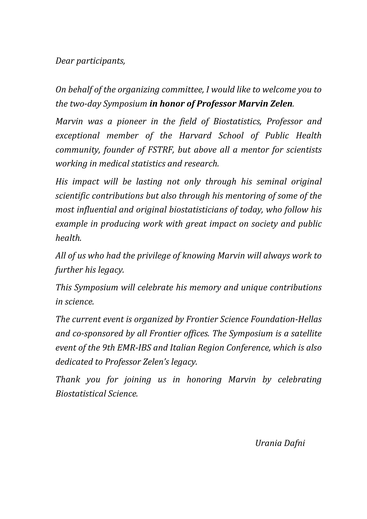#### *Dear participants,*

*On behalf of the organizing committee, I would like to welcome you to the two-day Symposium in honor of Professor Marvin Zelen.* 

*Marvin was a pioneer in the field of Biostatistics, Professor and exceptional member of the Harvard School of Public Health community, founder of FSTRF, but above all a mentor for scientists working in medical statistics and research.* 

*His impact will be lasting not only through his seminal original scientific contributions but also through his mentoring of some of the most influential and original biostatisticians of today, who follow his example in producing work with great impact on society and public health.*

*All of us who had the privilege of knowing Marvin will always work to further his legacy.* 

*This Symposium will celebrate his memory and unique contributions in science.*

*The current event is organized by Frontier Science Foundation-Hellas and co-sponsored by all Frontier offices. The Symposium is a satellite event of the 9th EMR-IBS and Italian Region Conference, which is also dedicated to Professor Zelen's legacy.*

*Thank you for joining us in honoring Marvin by celebrating Biostatistical Science.*

*Urania Dafni*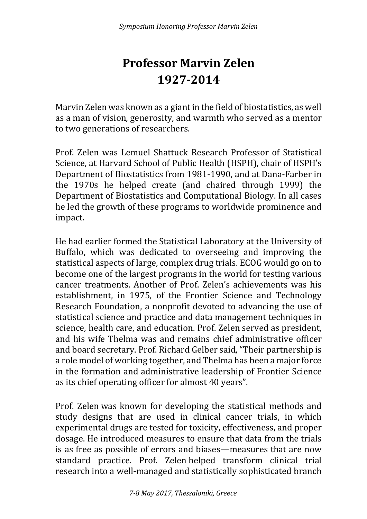### **Professor Marvin Zelen 1927-2014**

Marvin Zelen was known as a giant in the field of biostatistics, as well as a man of vision, generosity, and warmth who served as a mentor to two generations of researchers.

Prof. Zelen was Lemuel Shattuck Research Professor of Statistical Science, at Harvard School of Public Health (HSPH), chair of HSPH's Department of Biostatistics from 1981-1990, and at Dana-Farber in the 1970s he helped create (and chaired through 1999) the Department of Biostatistics and Computational Biology. In all cases he led the growth of these programs to worldwide prominence and impact.

He had earlier formed the Statistical Laboratory at the University of Buffalo, which was dedicated to overseeing and improving the statistical aspects of large, complex drug trials. ECOG would go on to become one of the largest programs in the world for testing various cancer treatments. Another of Prof. Zelen's achievements was his establishment, in 1975, of the Frontier Science and Technology Research Foundation, a nonprofit devoted to advancing the use of statistical science and practice and data management techniques in science, health care, and education. Prof. Zelen served as president, and his wife Thelma was and remains chief administrative officer and board secretary. Prof. Richard Gelber said, "Their partnership is a role model of working together, and Thelma has been a major force in the formation and administrative leadership of Frontier Science as its chief operating officer for almost 40 years".

Prof. Zelen was known for developing the statistical methods and study designs that are used in clinical cancer trials, in which experimental drugs are tested for toxicity, effectiveness, and proper dosage. He introduced measures to ensure that data from the trials is as free as possible of errors and biases—measures that are now standard practice. Prof. Zelen helped transform clinical trial research into a well-managed and statistically sophisticated branch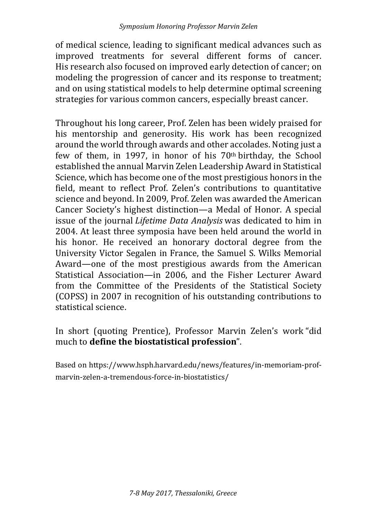of medical science, leading to significant medical advances such as improved treatments for several different forms of cancer. His research also focused on improved early detection of cancer; on modeling the progression of cancer and its response to treatment; and on using statistical models to help determine optimal screening strategies for various common cancers, especially breast cancer.

Throughout his long career, Prof. Zelen has been widely praised for his mentorship and generosity. His work has been recognized around the world through awards and other accolades. Noting just a few of them, in 1997, in honor of his 70th birthday, the School established the annual Marvin Zelen Leadership Award in Statistical Science, which has become one of the most prestigious honors in the field, meant to reflect Prof. Zelen's contributions to quantitative science and beyond. In 2009, Prof. Zelen was awarded the American Cancer Society's highest distinction—a Medal of Honor. A special issue of the journal *Lifetime Data Analysis* was dedicated to him in 2004. At least three symposia have been held around the world in his honor. He received an honorary doctoral degree from the University Victor Segalen in France, the Samuel S. Wilks Memorial Award—one of the most prestigious awards from the American Statistical Association—in 2006, and the Fisher Lecturer Award from the Committee of the Presidents of the Statistical Society (COPSS) in 2007 in recognition of his outstanding contributions to statistical science.

In short (quoting Prentice), Professor Marvin Zelen's work "did much to **define the biostatistical profession**".

Based on https://www.hsph.harvard.edu/news/features/in-memoriam-profmarvin-zelen-a-tremendous-force-in-biostatistics/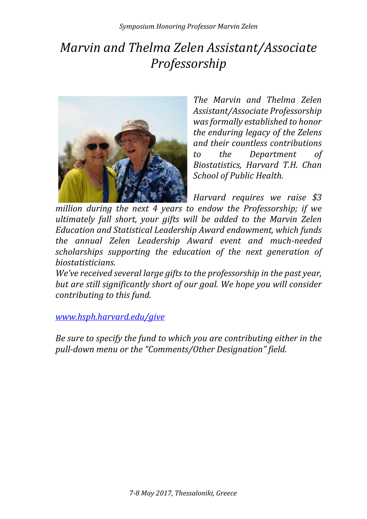### *Marvin and Thelma Zelen Assistant/Associate Professorship*



*The Marvin and Thelma Zelen Assistant/Associate Professorship was formally established to honor the enduring legacy of the Zelens and their countless contributions to the Department of Biostatistics, Harvard T.H. Chan School of Public Health.*

*Harvard requires we raise \$3* 

*million during the next 4 years to endow the Professorship; if we ultimately fall short, your gifts will be added to the Marvin Zelen Education and Statistical Leadership Award endowment, which funds the annual Zelen Leadership Award event and much-needed scholarships supporting the education of the next generation of biostatisticians.*

*We've received several large gifts to the professorship in the past year, but are still significantly short of our goal. We hope you will consider contributing to this fund.*

*[www.hsph.harvard.edu/give](http://www.hsph.harvard.edu/give)*

*Be sure to specify the fund to which you are contributing either in the pull-down menu or the "Comments/Other Designation" field.*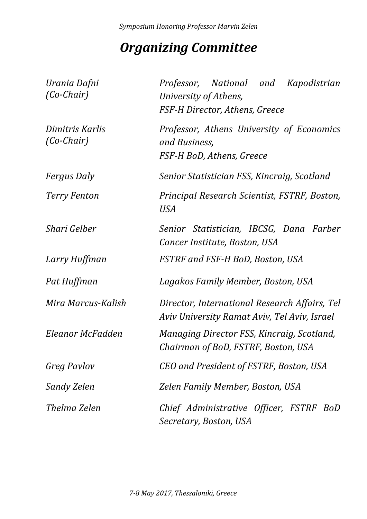### *Organizing Committee*

| Urania Dafni<br>$(Co-Chair)$    | National and<br>Kapodistrian<br>Professor,<br>University of Athens,<br>FSF-H Director, Athens, Greece |
|---------------------------------|-------------------------------------------------------------------------------------------------------|
| Dimitris Karlis<br>$(Co-Chair)$ | Professor, Athens University of Economics<br>and Business,<br>FSF-H BoD, Athens, Greece               |
| <i>Fergus Daly</i>              | Senior Statistician FSS, Kincraig, Scotland                                                           |
| <b>Terry Fenton</b>             | Principal Research Scientist, FSTRF, Boston,<br><b>USA</b>                                            |
| Shari Gelber                    | Senior Statistician, IBCSG, Dana Farber<br>Cancer Institute, Boston, USA                              |
| Larry Huffman                   | FSTRF and FSF-H BoD, Boston, USA                                                                      |
| Pat Huffman                     | Lagakos Family Member, Boston, USA                                                                    |
| Mira Marcus-Kalish              | Director, International Research Affairs, Tel<br>Aviv University Ramat Aviv, Tel Aviv, Israel         |
| Eleanor McFadden                | Managing Director FSS, Kincraig, Scotland,<br>Chairman of BoD, FSTRF, Boston, USA                     |
| <b>Greg Pavlov</b>              | CEO and President of FSTRF, Boston, USA                                                               |
| Sandy Zelen                     | Zelen Family Member, Boston, USA                                                                      |
| Thelma Zelen                    | Chief Administrative Officer, FSTRF BoD<br>Secretary, Boston, USA                                     |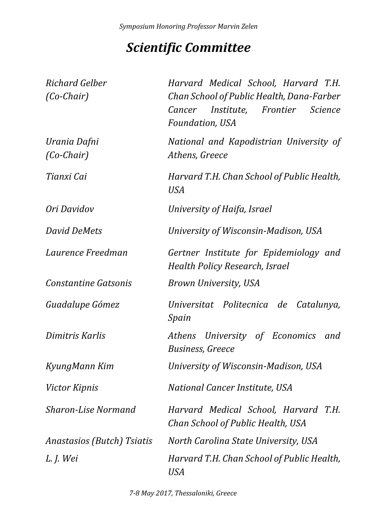### *Scientific Committee*

| Richard Gelber               | Harvard Medical School, Harvard T.H.                                                                         |
|------------------------------|--------------------------------------------------------------------------------------------------------------|
| $(Co-Chair)$                 | Chan School of Public Health, Dana-Farber<br>Institute, Frontier Science<br>Cancer<br><b>Foundation, USA</b> |
| Urania Dafni<br>$(Co-Chair)$ | National and Kapodistrian University of<br>Athens, Greece                                                    |
| Tianxi Cai                   | Harvard T.H. Chan School of Public Health,<br><b>USA</b>                                                     |
| Ori Davidov                  | University of Haifa, Israel                                                                                  |
| <b>David DeMets</b>          | University of Wisconsin-Madison, USA                                                                         |
| Laurence Freedman            | Gertner Institute for Epidemiology and<br><b>Health Policy Research, Israel</b>                              |
| <b>Constantine Gatsonis</b>  | Brown University, USA                                                                                        |
| Guadalupe Gómez              | Universitat Politecnica de Catalunya,<br>Spain                                                               |
| Dimitris Karlis              | Athens University of Economics<br>and<br><b>Business, Greece</b>                                             |
| KyungMann Kim                | University of Wisconsin-Madison, USA                                                                         |
| <i>Victor Kipnis</i>         | National Cancer Institute, USA                                                                               |
| <b>Sharon-Lise Normand</b>   | Harvard Medical School, Harvard T.H.<br>Chan School of Public Health, USA                                    |
| Anastasios (Butch) Tsiatis   | North Carolina State University, USA                                                                         |
| L. J. Wei                    | Harvard T.H. Chan School of Public Health,<br>USA                                                            |

*7-8 May 2017, Thessaloniki, Greece*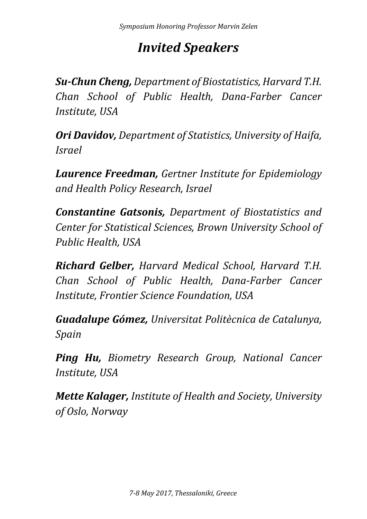### *Invited Speakers*

*Su-Chun Cheng, Department of Biostatistics, Harvard T.H. Chan School of Public Health, Dana-Farber Cancer Institute, USA*

*Ori Davidov, Department of Statistics, University of Haifa, Israel*

*Laurence Freedman, Gertner Institute for Epidemiology and Health Policy Research, Israel*

*Constantine Gatsonis, Department of Biostatistics and Center for Statistical Sciences, Brown University School of Public Health, USA*

*Richard Gelber, Harvard Medical School, Harvard T.H. Chan School of Public Health, Dana-Farber Cancer Institute, Frontier Science Foundation, USA*

*Guadalupe Gómez, Universitat Politècnica de Catalunya, Spain*

*Ping Hu, Biometry Research Group, National Cancer Institute, USA*

*Mette Kalager, Institute of Health and Society, University of Oslo, Norway*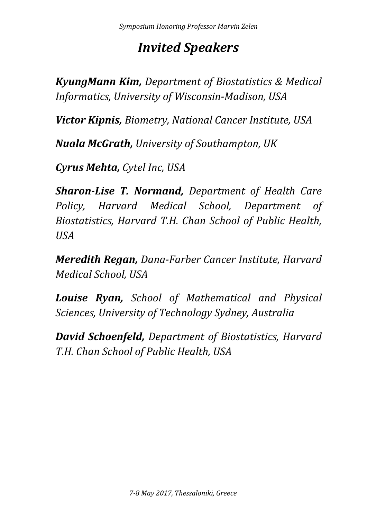### *Invited Speakers*

*KyungMann Kim, Department of Biostatistics & Medical Informatics, University of Wisconsin-Madison, USA*

*Victor Kipnis, Biometry, National Cancer Institute, USA*

*Nuala McGrath, University of Southampton, UK*

*Cyrus Mehta, Cytel Inc, USA*

*Sharon-Lise T. Normand, Department of Health Care Policy, Harvard Medical School, Department of Biostatistics, Harvard T.H. Chan School of Public Health, USA*

*Meredith Regan, Dana-Farber Cancer Institute, Harvard Medical School, USA*

*Louise Ryan, School of Mathematical and Physical Sciences, University of Technology Sydney, Australia*

*David Schoenfeld, Department of Biostatistics, Harvard T.H. Chan School of Public Health, USA*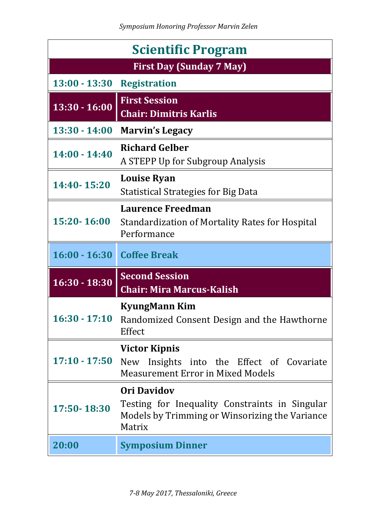| <b>Scientific Program</b>       |                                                                                                                                  |  |
|---------------------------------|----------------------------------------------------------------------------------------------------------------------------------|--|
| <b>First Day (Sunday 7 May)</b> |                                                                                                                                  |  |
| $13:00 - 13:30$                 | <b>Registration</b>                                                                                                              |  |
| $13:30 - 16:00$                 | <b>First Session</b><br><b>Chair: Dimitris Karlis</b>                                                                            |  |
| $13:30 - 14:00$                 | <b>Marvin's Legacy</b>                                                                                                           |  |
| $14:00 - 14:40$                 | <b>Richard Gelber</b><br>A STEPP Up for Subgroup Analysis                                                                        |  |
| 14:40-15:20                     | <b>Louise Ryan</b><br><b>Statistical Strategies for Big Data</b>                                                                 |  |
| 15:20-16:00                     | <b>Laurence Freedman</b><br>Standardization of Mortality Rates for Hospital<br>Performance                                       |  |
|                                 |                                                                                                                                  |  |
| 16:00 - 16:30 Coffee Break      |                                                                                                                                  |  |
| $16:30 - 18:30$                 | <b>Second Session</b><br><b>Chair: Mira Marcus-Kalish</b>                                                                        |  |
| $16:30 - 17:10$                 | <b>KyungMann Kim</b><br>Randomized Consent Design and the Hawthorne<br>Effect                                                    |  |
| $17:10 - 17:50$                 | <b>Victor Kipnis</b><br>New Insights into the Effect of Covariate<br><b>Measurement Error in Mixed Models</b>                    |  |
| 17:50-18:30                     | <b>Ori Davidov</b><br>Testing for Inequality Constraints in Singular<br>Models by Trimming or Winsorizing the Variance<br>Matrix |  |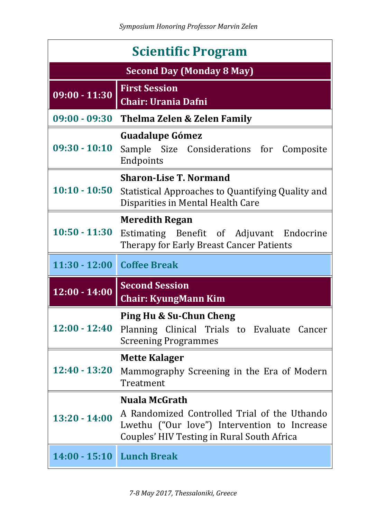| <b>Scientific Program</b>        |                                                                                                                                            |  |
|----------------------------------|--------------------------------------------------------------------------------------------------------------------------------------------|--|
| <b>Second Day (Monday 8 May)</b> |                                                                                                                                            |  |
| $09:00 - 11:30$                  | <b>First Session</b><br><b>Chair: Urania Dafni</b>                                                                                         |  |
| $09:00 - 09:30$                  | <b>Thelma Zelen &amp; Zelen Family</b>                                                                                                     |  |
| $09:30 - 10:10$                  | <b>Guadalupe Gómez</b><br>Sample Size Considerations for Composite<br>Endpoints                                                            |  |
|                                  | <b>Sharon-Lise T. Normand</b>                                                                                                              |  |
| $10:10 - 10:50$                  | Statistical Approaches to Quantifying Quality and<br>Disparities in Mental Health Care                                                     |  |
|                                  | <b>Meredith Regan</b>                                                                                                                      |  |
| $10:50 - 11:30$                  | Estimating Benefit of Adjuvant Endocrine<br>Therapy for Early Breast Cancer Patients                                                       |  |
|                                  |                                                                                                                                            |  |
|                                  | 11:30 - 12:00 Coffee Break                                                                                                                 |  |
| $12:00 - 14:00$                  | <b>Second Session</b><br><b>Chair: KyungMann Kim</b>                                                                                       |  |
|                                  | <b>Ping Hu &amp; Su-Chun Cheng</b>                                                                                                         |  |
| $12:00 - 12:40$                  | Planning Clinical Trials to Evaluate Cancer<br><b>Screening Programmes</b>                                                                 |  |
|                                  | <b>Mette Kalager</b>                                                                                                                       |  |
| $12:40 - 13:20$                  | Mammography Screening in the Era of Modern<br>Treatment                                                                                    |  |
|                                  | Nuala McGrath                                                                                                                              |  |
| $13:20 - 14:00$                  | A Randomized Controlled Trial of the Uthando<br>Lwethu ("Our love") Intervention to Increase<br>Couples' HIV Testing in Rural South Africa |  |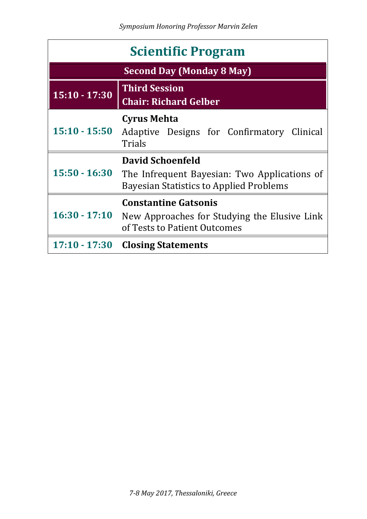| <b>Scientific Program</b>        |                                                                                                                           |  |
|----------------------------------|---------------------------------------------------------------------------------------------------------------------------|--|
| <b>Second Day (Monday 8 May)</b> |                                                                                                                           |  |
| $15:10 - 17:30$                  | <b>Third Session</b><br><b>Chair: Richard Gelber</b>                                                                      |  |
| $15:10 - 15:50$                  | <b>Cyrus Mehta</b><br>Adaptive Designs for Confirmatory Clinical<br>Trials                                                |  |
| $15:50 - 16:30$                  | <b>David Schoenfeld</b><br>The Infrequent Bayesian: Two Applications of<br><b>Bayesian Statistics to Applied Problems</b> |  |
| $16:30 - 17:10$                  | <b>Constantine Gatsonis</b><br>New Approaches for Studying the Elusive Link<br>of Tests to Patient Outcomes               |  |
| $17:10 - 17:30$                  | <b>Closing Statements</b>                                                                                                 |  |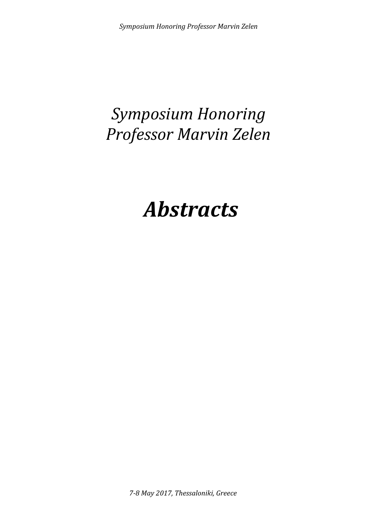# *Symposium Honoring Professor Marvin Zelen*

# *Abstracts*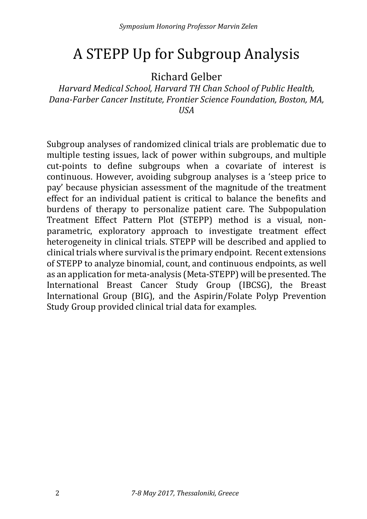### A STEPP Up for Subgroup Analysis

Richard Gelber

*Harvard Medical School, Harvard TH Chan School of Public Health, Dana-Farber Cancer Institute, Frontier Science Foundation, Boston, MA, USA*

Subgroup analyses of randomized clinical trials are problematic due to multiple testing issues, lack of power within subgroups, and multiple cut-points to define subgroups when a covariate of interest is continuous. However, avoiding subgroup analyses is a 'steep price to pay' because physician assessment of the magnitude of the treatment effect for an individual patient is critical to balance the benefits and burdens of therapy to personalize patient care. The Subpopulation Treatment Effect Pattern Plot (STEPP) method is a visual, nonparametric, exploratory approach to investigate treatment effect heterogeneity in clinical trials. STEPP will be described and applied to clinical trials where survival is the primary endpoint. Recent extensions of STEPP to analyze binomial, count, and continuous endpoints, as well as an application for meta-analysis (Meta-STEPP) will be presented. The International Breast Cancer Study Group (IBCSG), the Breast International Group (BIG), and the Aspirin/Folate Polyp Prevention Study Group provided clinical trial data for examples.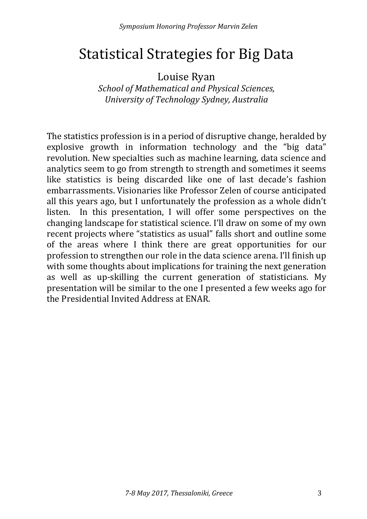### Statistical Strategies for Big Data

Louise Ryan

*School of Mathematical and Physical Sciences, University of Technology Sydney, Australia*

The statistics profession is in a period of disruptive change, heralded by explosive growth in information technology and the "big data" revolution. New specialties such as machine learning, data science and analytics seem to go from strength to strength and sometimes it seems like statistics is being discarded like one of last decade's fashion embarrassments. Visionaries like Professor Zelen of course anticipated all this years ago, but I unfortunately the profession as a whole didn't listen. In this presentation, I will offer some perspectives on the changing landscape for statistical science. I'll draw on some of my own recent projects where "statistics as usual" falls short and outline some of the areas where I think there are great opportunities for our profession to strengthen our role in the data science arena. I'll finish up with some thoughts about implications for training the next generation as well as up-skilling the current generation of statisticians. My presentation will be similar to the one I presented a few weeks ago for the Presidential Invited Address at ENAR.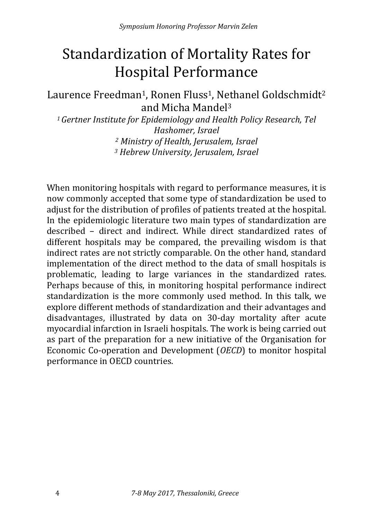# Standardization of Mortality Rates for Hospital Performance

#### Laurence Freedman<sup>1</sup>, Ronen Fluss<sup>1</sup>, Nethanel Goldschmidt<sup>2</sup> and Micha Mandel3

*1Gertner Institute for Epidemiology and Health Policy Research, Tel Hashomer, Israel <sup>2</sup> Ministry of Health, Jerusalem, Israel*

*<sup>3</sup> Hebrew University, Jerusalem, Israel*

When monitoring hospitals with regard to performance measures, it is now commonly accepted that some type of standardization be used to adjust for the distribution of profiles of patients treated at the hospital. In the epidemiologic literature two main types of standardization are described – direct and indirect. While direct standardized rates of different hospitals may be compared, the prevailing wisdom is that indirect rates are not strictly comparable. On the other hand, standard implementation of the direct method to the data of small hospitals is problematic, leading to large variances in the standardized rates. Perhaps because of this, in monitoring hospital performance indirect standardization is the more commonly used method. In this talk, we explore different methods of standardization and their advantages and disadvantages, illustrated by data on 30-day mortality after acute myocardial infarction in Israeli hospitals. The work is being carried out as part of the preparation for a new initiative of the Organisation for Economic Co-operation and Development (*OECD*) to monitor hospital performance in OECD countries.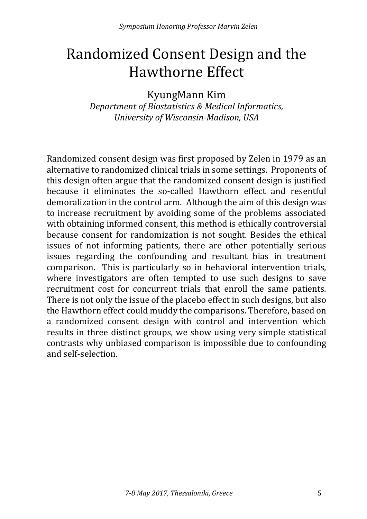# Randomized Consent Design and the Hawthorne Effect

KyungMann Kim *Department of Biostatistics & Medical Informatics, University of Wisconsin-Madison, USA*

Randomized consent design was first proposed by Zelen in 1979 as an alternative to randomized clinical trials in some settings. Proponents of this design often argue that the randomized consent design is justified because it eliminates the so-called Hawthorn effect and resentful demoralization in the control arm. Although the aim of this design was to increase recruitment by avoiding some of the problems associated with obtaining informed consent, this method is ethically controversial because consent for randomization is not sought. Besides the ethical issues of not informing patients, there are other potentially serious issues regarding the confounding and resultant bias in treatment comparison. This is particularly so in behavioral intervention trials, where investigators are often tempted to use such designs to save recruitment cost for concurrent trials that enroll the same patients. There is not only the issue of the placebo effect in such designs, but also the Hawthorn effect could muddy the comparisons. Therefore, based on a randomized consent design with control and intervention which results in three distinct groups, we show using very simple statistical contrasts why unbiased comparison is impossible due to confounding and self-selection.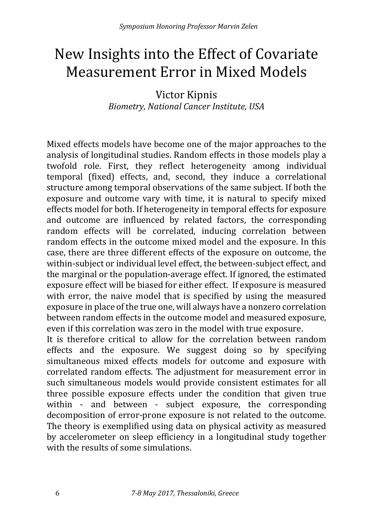### New Insights into the Effect of Covariate Measurement Error in Mixed Models

#### Victor Kipnis *Biometry, National Cancer Institute, USA*

Mixed effects models have become one of the major approaches to the analysis of longitudinal studies. Random effects in those models play a twofold role. First, they reflect heterogeneity among individual temporal (fixed) effects, and, second, they induce a correlational structure among temporal observations of the same subject. If both the exposure and outcome vary with time, it is natural to specify mixed effects model for both. If heterogeneity in temporal effects for exposure and outcome are influenced by related factors, the corresponding random effects will be correlated, inducing correlation between random effects in the outcome mixed model and the exposure. In this case, there are three different effects of the exposure on outcome, the within-subject or individual level effect, the between-subject effect, and the marginal or the population-average effect. If ignored, the estimated exposure effect will be biased for either effect. If exposure is measured with error, the naive model that is specified by using the measured exposure in place of the true one, will always have a nonzero correlation between random effects in the outcome model and measured exposure, even if this correlation was zero in the model with true exposure.

It is therefore critical to allow for the correlation between random effects and the exposure. We suggest doing so by specifying simultaneous mixed effects models for outcome and exposure with correlated random effects. The adjustment for measurement error in such simultaneous models would provide consistent estimates for all three possible exposure effects under the condition that given true within - and between - subject exposure, the corresponding decomposition of error-prone exposure is not related to the outcome. The theory is exemplified using data on physical activity as measured by accelerometer on sleep efficiency in a longitudinal study together with the results of some simulations.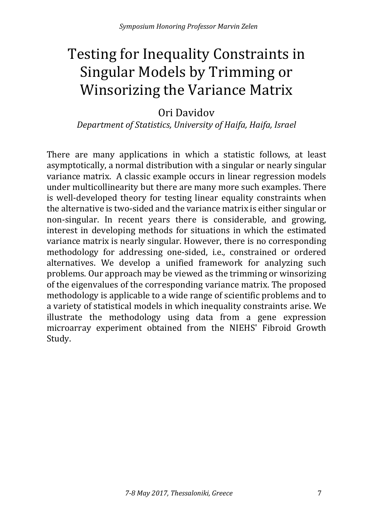# Testing for Inequality Constraints in Singular Models by Trimming or Winsorizing the Variance Matrix

Ori Davidov

*Department of Statistics, University of Haifa, Haifa, Israel* 

There are many applications in which a statistic follows, at least asymptotically, a normal distribution with a singular or nearly singular variance matrix. A classic example occurs in linear regression models under multicollinearity but there are many more such examples. There is well-developed theory for testing linear equality constraints when the alternative is two-sided and the variance matrix is either singular or non-singular. In recent years there is considerable, and growing, interest in developing methods for situations in which the estimated variance matrix is nearly singular. However, there is no corresponding methodology for addressing one-sided, i.e., constrained or ordered alternatives. We develop a unified framework for analyzing such problems. Our approach may be viewed as the trimming or winsorizing of the eigenvalues of the corresponding variance matrix. The proposed methodology is applicable to a wide range of scientific problems and to a variety of statistical models in which inequality constraints arise. We illustrate the methodology using data from a gene expression microarray experiment obtained from the NIEHS' Fibroid Growth Study.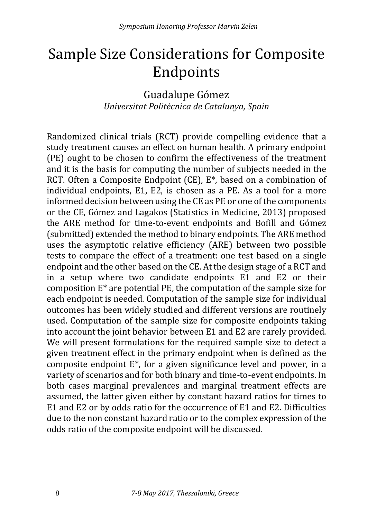# Sample Size Considerations for Composite Endpoints

Guadalupe Gómez *Universitat Politècnica de Catalunya, Spain*

Randomized clinical trials (RCT) provide compelling evidence that a study treatment causes an effect on human health. A primary endpoint (PE) ought to be chosen to confirm the effectiveness of the treatment and it is the basis for computing the number of subjects needed in the RCT. Often a Composite Endpoint (CE), E\*, based on a combination of individual endpoints, E1, E2, is chosen as a PE. As a tool for a more informed decision between using the CE as PE or one of the components or the CE, Gómez and Lagakos (Statistics in Medicine, 2013) proposed the ARE method for time-to-event endpoints and Bofill and Gómez (submitted) extended the method to binary endpoints. The ARE method uses the asymptotic relative efficiency (ARE) between two possible tests to compare the effect of a treatment: one test based on a single endpoint and the other based on the CE. At the design stage of a RCT and in a setup where two candidate endpoints E1 and E2 or their composition E\* are potential PE, the computation of the sample size for each endpoint is needed. Computation of the sample size for individual outcomes has been widely studied and different versions are routinely used. Computation of the sample size for composite endpoints taking into account the joint behavior between E1 and E2 are rarely provided. We will present formulations for the required sample size to detect a given treatment effect in the primary endpoint when is defined as the composite endpoint E\*, for a given significance level and power, in a variety of scenarios and for both binary and time-to-event endpoints. In both cases marginal prevalences and marginal treatment effects are assumed, the latter given either by constant hazard ratios for times to E1 and E2 or by odds ratio for the occurrence of E1 and E2. Difficulties due to the non constant hazard ratio or to the complex expression of the odds ratio of the composite endpoint will be discussed.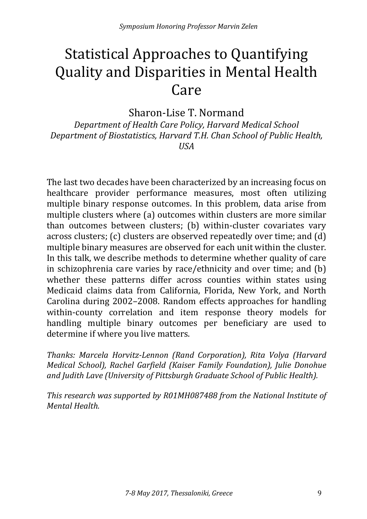# Statistical Approaches to Quantifying Quality and Disparities in Mental Health Care

Sharon-Lise T. Normand

*Department of Health Care Policy, Harvard Medical School Department of Biostatistics, Harvard T.H. Chan School of Public Health, USA*

The last two decades have been characterized by an increasing focus on healthcare provider performance measures, most often utilizing multiple binary response outcomes. In this problem, data arise from multiple clusters where (a) outcomes within clusters are more similar than outcomes between clusters; (b) within-cluster covariates vary across clusters; (c) clusters are observed repeatedly over time; and (d) multiple binary measures are observed for each unit within the cluster. In this talk, we describe methods to determine whether quality of care in schizophrenia care varies by race/ethnicity and over time; and (b) whether these patterns differ across counties within states using Medicaid claims data from California, Florida, New York, and North Carolina during 2002–2008. Random effects approaches for handling within-county correlation and item response theory models for handling multiple binary outcomes per beneficiary are used to determine if where you live matters.

*Thanks: Marcela Horvitz-Lennon (Rand Corporation), Rita Volya (Harvard Medical School), Rachel Garfield (Kaiser Family Foundation), Julie Donohue and Judith Lave (University of Pittsburgh Graduate School of Public Health).* 

*This research was supported by R01MH087488 from the National Institute of Mental Health.*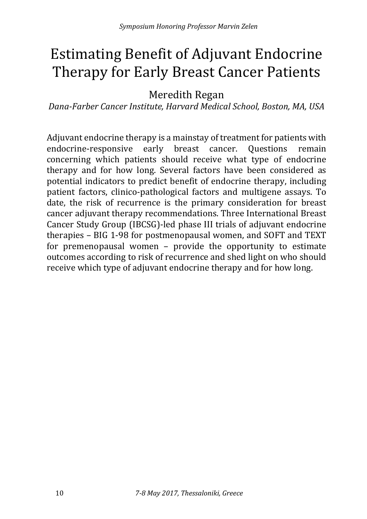# Estimating Benefit of Adjuvant Endocrine Therapy for Early Breast Cancer Patients

Meredith Regan

*Dana-Farber Cancer Institute, Harvard Medical School, Boston, MA, USA*

Adjuvant endocrine therapy is a mainstay of treatment for patients with<br>endocrine-responsive early breast cancer. Ouestions remain endocrine-responsive early breast cancer. concerning which patients should receive what type of endocrine therapy and for how long. Several factors have been considered as potential indicators to predict benefit of endocrine therapy, including patient factors, clinico-pathological factors and multigene assays. To date, the risk of recurrence is the primary consideration for breast cancer adjuvant therapy recommendations. Three International Breast Cancer Study Group (IBCSG)-led phase III trials of adjuvant endocrine therapies – BIG 1-98 for postmenopausal women, and SOFT and TEXT for premenopausal women – provide the opportunity to estimate outcomes according to risk of recurrence and shed light on who should receive which type of adjuvant endocrine therapy and for how long.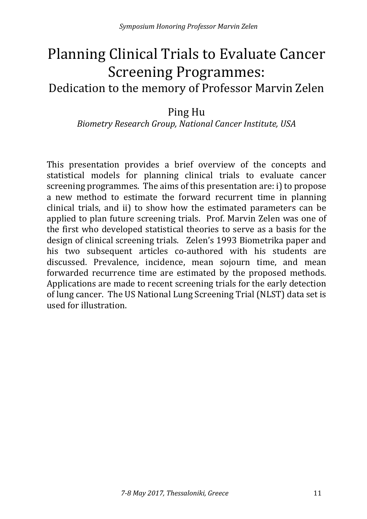### Planning Clinical Trials to Evaluate Cancer Screening Programmes: Dedication to the memory of Professor Marvin Zelen

#### Ping Hu

#### *Biometry Research Group, National Cancer Institute, USA*

This presentation provides a brief overview of the concepts and statistical models for planning clinical trials to evaluate cancer screening programmes. The aims of this presentation are: i) to propose a new method to estimate the forward recurrent time in planning clinical trials, and ii) to show how the estimated parameters can be applied to plan future screening trials. Prof. Marvin Zelen was one of the first who developed statistical theories to serve as a basis for the design of clinical screening trials. Zelen's 1993 Biometrika paper and his two subsequent articles co-authored with his students are discussed. Prevalence, incidence, mean sojourn time, and mean forwarded recurrence time are estimated by the proposed methods. Applications are made to recent screening trials for the early detection of lung cancer. The US National Lung Screening Trial (NLST) data set is used for illustration.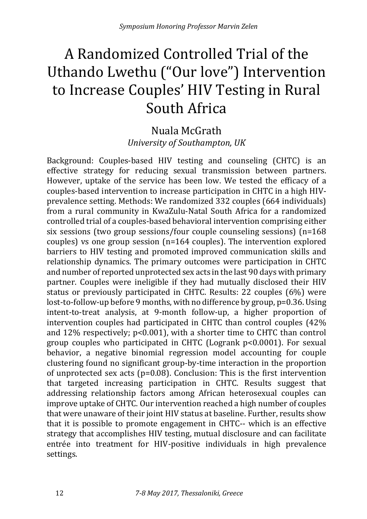# A Randomized Controlled Trial of the Uthando Lwethu ("Our love") Intervention to Increase Couples' HIV Testing in Rural South Africa

#### Nuala McGrath *University of Southampton, UK*

Background: Couples-based HIV testing and counseling (CHTC) is an effective strategy for reducing sexual transmission between partners. However, uptake of the service has been low. We tested the efficacy of a couples-based intervention to increase participation in CHTC in a high HIVprevalence setting. Methods: We randomized 332 couples (664 individuals) from a rural community in KwaZulu-Natal South Africa for a randomized controlled trial of a couples-based behavioral intervention comprising either six sessions (two group sessions/four couple counseling sessions) (n=168 couples) vs one group session (n=164 couples). The intervention explored barriers to HIV testing and promoted improved communication skills and relationship dynamics. The primary outcomes were participation in CHTC and number of reported unprotected sex acts in the last 90 days with primary partner. Couples were ineligible if they had mutually disclosed their HIV status or previously participated in CHTC. Results: 22 couples (6%) were lost-to-follow-up before 9 months, with no difference by group, p=0.36. Using intent-to-treat analysis, at 9-month follow-up, a higher proportion of intervention couples had participated in CHTC than control couples (42% and 12% respectively; p<0.001), with a shorter time to CHTC than control group couples who participated in CHTC (Logrank p<0.0001). For sexual behavior, a negative binomial regression model accounting for couple clustering found no significant group-by-time interaction in the proportion of unprotected sex acts (p=0.08). Conclusion: This is the first intervention that targeted increasing participation in CHTC. Results suggest that addressing relationship factors among African heterosexual couples can improve uptake of CHTC. Our intervention reached a high number of couples that were unaware of their joint HIV status at baseline. Further, results show that it is possible to promote engagement in CHTC-- which is an effective strategy that accomplishes HIV testing, mutual disclosure and can facilitate entrée into treatment for HIV-positive individuals in high prevalence settings.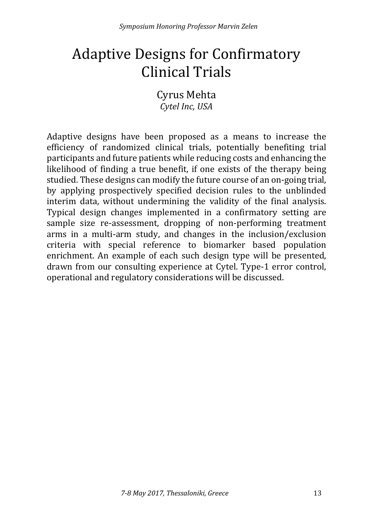# Adaptive Designs for Confirmatory Clinical Trials

Cyrus Mehta *Cytel Inc, USA*

Adaptive designs have been proposed as a means to increase the efficiency of randomized clinical trials, potentially benefiting trial participants and future patients while reducing costs and enhancing the likelihood of finding a true benefit, if one exists of the therapy being studied. These designs can modify the future course of an on-going trial, by applying prospectively specified decision rules to the unblinded interim data, without undermining the validity of the final analysis. Typical design changes implemented in a confirmatory setting are sample size re-assessment, dropping of non-performing treatment arms in a multi-arm study, and changes in the inclusion/exclusion criteria with special reference to biomarker based population enrichment. An example of each such design type will be presented, drawn from our consulting experience at Cytel. Type-1 error control, operational and regulatory considerations will be discussed.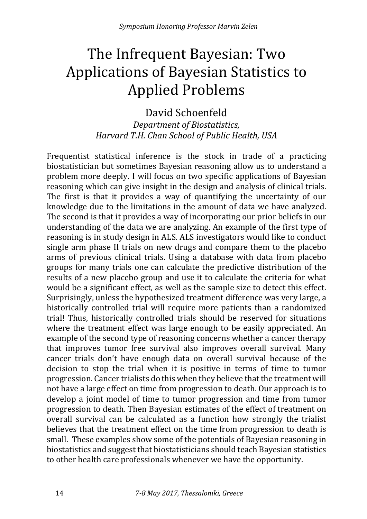# The Infrequent Bayesian: Two Applications of Bayesian Statistics to Applied Problems

David Schoenfeld *Department of Biostatistics, Harvard T.H. Chan School of Public Health, USA*

Frequentist statistical inference is the stock in trade of a practicing biostatistician but sometimes Bayesian reasoning allow us to understand a problem more deeply. I will focus on two specific applications of Bayesian reasoning which can give insight in the design and analysis of clinical trials. The first is that it provides a way of quantifying the uncertainty of our knowledge due to the limitations in the amount of data we have analyzed. The second is that it provides a way of incorporating our prior beliefs in our understanding of the data we are analyzing. An example of the first type of reasoning is in study design in ALS. ALS investigators would like to conduct single arm phase II trials on new drugs and compare them to the placebo arms of previous clinical trials. Using a database with data from placebo groups for many trials one can calculate the predictive distribution of the results of a new placebo group and use it to calculate the criteria for what would be a significant effect, as well as the sample size to detect this effect. Surprisingly, unless the hypothesized treatment difference was very large, a historically controlled trial will require more patients than a randomized trial! Thus, historically controlled trials should be reserved for situations where the treatment effect was large enough to be easily appreciated. An example of the second type of reasoning concerns whether a cancer therapy that improves tumor free survival also improves overall survival. Many cancer trials don't have enough data on overall survival because of the decision to stop the trial when it is positive in terms of time to tumor progression. Cancer trialists do this when they believe that the treatment will not have a large effect on time from progression to death. Our approach is to develop a joint model of time to tumor progression and time from tumor progression to death. Then Bayesian estimates of the effect of treatment on overall survival can be calculated as a function how strongly the trialist believes that the treatment effect on the time from progression to death is small. These examples show some of the potentials of Bayesian reasoning in biostatistics and suggest that biostatisticians should teach Bayesian statistics to other health care professionals whenever we have the opportunity.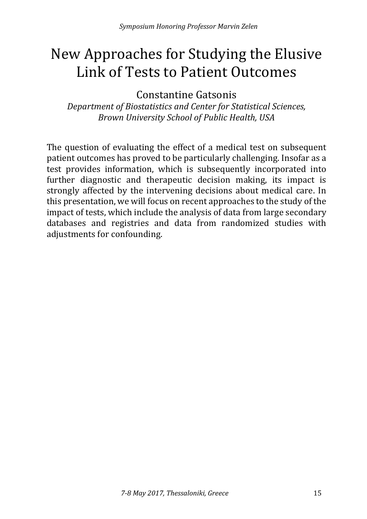### New Approaches for Studying the Elusive Link of Tests to Patient Outcomes

Constantine Gatsonis

*Department of Biostatistics and Center for Statistical Sciences, Brown University School of Public Health, USA*

The question of evaluating the effect of a medical test on subsequent patient outcomes has proved to be particularly challenging. Insofar as a test provides information, which is subsequently incorporated into further diagnostic and therapeutic decision making, its impact is strongly affected by the intervening decisions about medical care. In this presentation, we will focus on recent approaches to the study of the impact of tests, which include the analysis of data from large secondary databases and registries and data from randomized studies with adjustments for confounding.